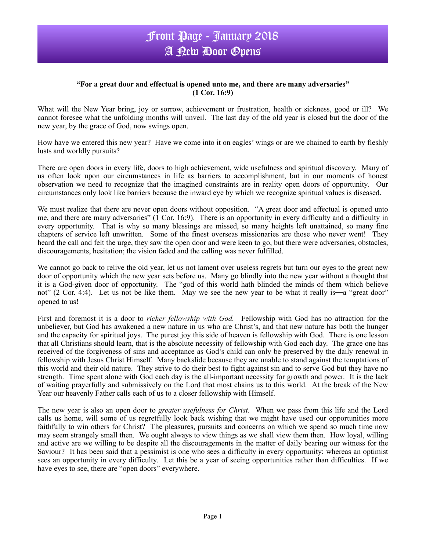## Front Page - January 2018 A New Door Opens

## **"For a great door and effectual is opened unto me, and there are many adversaries" (1 Cor. 16:9)**

What will the New Year bring, joy or sorrow, achievement or frustration, health or sickness, good or ill? We cannot foresee what the unfolding months will unveil. The last day of the old year is closed but the door of the new year, by the grace of God, now swings open.

How have we entered this new year? Have we come into it on eagles' wings or are we chained to earth by fleshly lusts and worldly pursuits?

There are open doors in every life, doors to high achievement, wide usefulness and spiritual discovery. Many of us often look upon our circumstances in life as barriers to accomplishment, but in our moments of honest observation we need to recognize that the imagined constraints are in reality open doors of opportunity. Our circumstances only look like barriers because the inward eye by which we recognize spiritual values is diseased.

We must realize that there are never open doors without opposition. "A great door and effectual is opened unto me, and there are many adversaries" (1 Cor. 16:9). There is an opportunity in every difficulty and a difficulty in every opportunity. That is why so many blessings are missed, so many heights left unattained, so many fine chapters of service left unwritten. Some of the finest overseas missionaries are those who never went! They heard the call and felt the urge, they saw the open door and were keen to go, but there were adversaries, obstacles, discouragements, hesitation; the vision faded and the calling was never fulfilled.

We cannot go back to relive the old year, let us not lament over useless regrets but turn our eyes to the great new door of opportunity which the new year sets before us. Many go blindly into the new year without a thought that it is a God-given door of opportunity. The "god of this world hath blinded the minds of them which believe not" (2 Cor. 4:4). Let us not be like them. May we see the new year to be what it really is—a "great door" opened to us!

First and foremost it is a door to *richer fellowship with God.* Fellowship with God has no attraction for the unbeliever, but God has awakened a new nature in us who are Christ's, and that new nature has both the hunger and the capacity for spiritual joys. The purest joy this side of heaven is fellowship with God. There is one lesson that all Christians should learn, that is the absolute necessity of fellowship with God each day. The grace one has received of the forgiveness of sins and acceptance as God's child can only be preserved by the daily renewal in fellowship with Jesus Christ Himself. Many backslide because they are unable to stand against the temptations of this world and their old nature. They strive to do their best to fight against sin and to serve God but they have no strength. Time spent alone with God each day is the all-important necessity for growth and power. It is the lack of waiting prayerfully and submissively on the Lord that most chains us to this world. At the break of the New Year our heavenly Father calls each of us to a closer fellowship with Himself.

The new year is also an open door to *greater usefulness for Christ.* When we pass from this life and the Lord calls us home, will some of us regretfully look back wishing that we might have used our opportunities more faithfully to win others for Christ? The pleasures, pursuits and concerns on which we spend so much time now may seem strangely small then. We ought always to view things as we shall view them then. How loyal, willing and active are we willing to be despite all the discouragements in the matter of daily bearing our witness for the Saviour? It has been said that a pessimist is one who sees a difficulty in every opportunity; whereas an optimist sees an opportunity in every difficulty. Let this be a year of seeing opportunities rather than difficulties. If we have eyes to see, there are "open doors" everywhere.